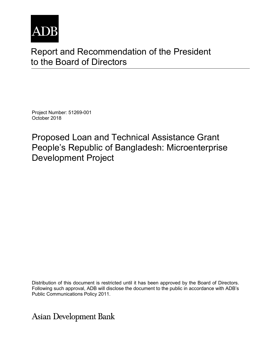

# Report and Recommendation of the President to the Board of Directors

Project Number: 51269-001 October 2018

Proposed Loan and Technical Assistance Grant People's Republic of Bangladesh: Microenterprise Development Project

Distribution of this document is restricted until it has been approved by the Board of Directors. Following such approval, ADB will disclose the document to the public in accordance with ADB's Public Communications Policy 2011.

**Asian Development Bank**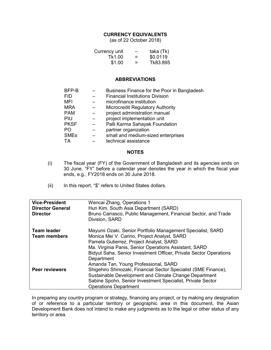#### **CURRENCY EQUIVALENTS**

(as of 22 October 2018)

| Currency unit | $\overline{\phantom{0}}$ | taka (Tk) |
|---------------|--------------------------|-----------|
| Tk1.00        | $\equiv$                 | \$0.0119  |
| \$1.00        | =                        | Tk83.895  |

#### **ABBREVIATIONS**

| BFP-B       | Business Finance for the Poor in Bangladesh |
|-------------|---------------------------------------------|
| FID.        | <b>Financial Institutions Division</b>      |
| MFI         | microfinance institution                    |
| <b>MRA</b>  | <b>Microcredit Regulatory Authority</b>     |
| <b>PAM</b>  | project administration manual               |
| PIU         | project implementation unit                 |
| <b>PKSF</b> | Palli Karma Sahayak Foundation              |
| PO.         | partner organization                        |
| <b>SMEs</b> | small and medium-sized enterprises          |
| ТA          | technical assistance                        |

#### **NOTES**

- (i) The fiscal year (FY) of the Government of Bangladesh and its agencies ends on 30 June. "FY" before a calendar year denotes the year in which the fiscal year ends, e.g., FY2018 ends on 30 June 2018.
- (ii) In this report, "\$" refers to United States dollars.

| <b>Vice-President</b>   | Wencai Zhang, Operations 1                                                       |
|-------------------------|----------------------------------------------------------------------------------|
| <b>Director General</b> | Hun Kim, South Asia Department (SARD)                                            |
| <b>Director</b>         | Bruno Carrasco, Public Management, Financial Sector, and Trade<br>Division, SARD |
| <b>Team leader</b>      | Mayumi Ozaki, Senior Portfolio Management Specialist, SARD                       |
| <b>Team members</b>     | Monica Mei V. Carino, Project Analyst, SARD                                      |
|                         | Pamela Gutierrez, Project Analyst, SARD                                          |
|                         | Ma. Virginia Panis, Senior Operations Assistant, SARD                            |
|                         | Bidyut Saha, Senior Investment Officer, Private Sector Operations                |
|                         | Department                                                                       |
|                         | Amanda Tan, Young Professional, SARD                                             |
| <b>Peer reviewers</b>   | Shigehiro Shinozaki, Financial Sector Specialist (SME Finance),                  |
|                         | Sustainable Development and Climate Change Department                            |
|                         | Sabine Spohn, Senior Investment Specialist, Private Sector                       |
|                         | <b>Operations Department</b>                                                     |

In preparing any country program or strategy, financing any project, or by making any designation of or reference to a particular territory or geographic area in this document, the Asian Development Bank does not intend to make any judgments as to the legal or other status of any territory or area.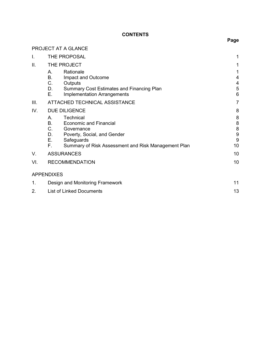## **CONTENTS**

|      | PROJECT AT A GLANCE                                                                                                                                                                                                             |                                  |
|------|---------------------------------------------------------------------------------------------------------------------------------------------------------------------------------------------------------------------------------|----------------------------------|
| I.   | THE PROPOSAL                                                                                                                                                                                                                    | 1                                |
| ΙΙ.  | THE PROJECT<br>Rationale<br>Α.<br>В.<br>Impact and Outcome<br>C.<br>Outputs<br>D.<br><b>Summary Cost Estimates and Financing Plan</b><br>Е.<br><b>Implementation Arrangements</b>                                               | 1<br>4<br>4<br>5<br>6            |
| III. | ATTACHED TECHNICAL ASSISTANCE                                                                                                                                                                                                   | $\overline{7}$                   |
| IV.  | <b>DUE DILIGENCE</b><br>Technical<br>Α.<br><b>B.</b><br><b>Economic and Financial</b><br>C.<br>Governance<br>D.<br>Poverty, Social, and Gender<br>Ε.<br>Safeguards<br>F.<br>Summary of Risk Assessment and Risk Management Plan | 8<br>8<br>8<br>8<br>9<br>9<br>10 |
| V.   | <b>ASSURANCES</b>                                                                                                                                                                                                               | 10                               |
| VI.  | <b>RECOMMENDATION</b>                                                                                                                                                                                                           | 10                               |
|      | <b>APPENDIXES</b>                                                                                                                                                                                                               |                                  |
| 1.   | Design and Monitoring Framework                                                                                                                                                                                                 | 11                               |
| 2.   | <b>List of Linked Documents</b>                                                                                                                                                                                                 | 13                               |

## **Page**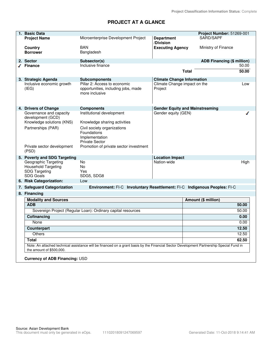## **PROJECT AT A GLANCE**

| 1. Basic Data                                                                                  |                                                                                                                                          |                                         | Project Number: 51269-001         |
|------------------------------------------------------------------------------------------------|------------------------------------------------------------------------------------------------------------------------------------------|-----------------------------------------|-----------------------------------|
| <b>Project Name</b>                                                                            | Microenterprise Development Project                                                                                                      | <b>Department</b>                       | SARD/SAPF                         |
|                                                                                                | BAN                                                                                                                                      | /Division                               |                                   |
| Country<br><b>Borrower</b>                                                                     | Bangladesh                                                                                                                               | <b>Executing Agency</b>                 | Ministry of Finance               |
|                                                                                                |                                                                                                                                          |                                         |                                   |
| 2. Sector                                                                                      | Subsector(s)                                                                                                                             |                                         | <b>ADB Financing (\$ million)</b> |
| $\sqrt{ }$ Finance                                                                             | Inclusive finance                                                                                                                        |                                         | 50.00                             |
|                                                                                                |                                                                                                                                          | <b>Total</b>                            | 50.00                             |
| 3. Strategic Agenda                                                                            | <b>Subcomponents</b>                                                                                                                     | <b>Climate Change Information</b>       |                                   |
| Inclusive economic growth<br>(IEG)                                                             | Pillar 2: Access to economic<br>opportunities, including jobs, made<br>more inclusive                                                    | Climate Change impact on the<br>Project | Low                               |
| 4. Drivers of Change                                                                           | <b>Components</b>                                                                                                                        | <b>Gender Equity and Mainstreaming</b>  |                                   |
| Governance and capacity<br>development (GCD)<br>Knowledge solutions (KNS)                      | Institutional development<br>Knowledge sharing activities                                                                                | Gender equity (GEN)                     | ∕                                 |
| Partnerships (PAR)                                                                             | Civil society organizations<br>Foundations<br>Implementation<br><b>Private Sector</b>                                                    |                                         |                                   |
| Private sector development<br>(PSD)                                                            | Promotion of private sector investment                                                                                                   |                                         |                                   |
| 5. Poverty and SDG Targeting                                                                   |                                                                                                                                          | <b>Location Impact</b>                  |                                   |
| Geographic Targeting<br><b>Household Targeting</b><br><b>SDG Targeting</b><br><b>SDG Goals</b> | <b>No</b><br>No.<br>Yes<br>SDG5, SDG8                                                                                                    | Nation-wide                             | High                              |
| 6. Risk Categorization:                                                                        | Low                                                                                                                                      |                                         |                                   |
| 7. Safeguard Categorization                                                                    | Environment: FI-C Involuntary Resettlement: FI-C Indigenous Peoples: FI-C                                                                |                                         |                                   |
| 8. Financing                                                                                   |                                                                                                                                          |                                         |                                   |
| <b>Modality and Sources</b>                                                                    |                                                                                                                                          |                                         | Amount (\$ million)               |
| <b>ADB</b>                                                                                     |                                                                                                                                          |                                         | 50.00                             |
|                                                                                                | Sovereign Project (Regular Loan): Ordinary capital resources                                                                             |                                         | 50.00                             |
| Cofinancing                                                                                    |                                                                                                                                          |                                         | 0.00                              |
| None                                                                                           |                                                                                                                                          |                                         | 0.00                              |
| <b>Counterpart</b>                                                                             |                                                                                                                                          |                                         | 12.50                             |
| <b>Others</b>                                                                                  |                                                                                                                                          |                                         | 12.50                             |
| <b>Total</b>                                                                                   |                                                                                                                                          |                                         | 62.50                             |
| the amount of \$500,000.                                                                       | Note: An attached technical assistance will be financed on a grant basis by the Financial Sector Development Partnership Special Fund in |                                         |                                   |
| <b>Currency of ADB Financing: USD</b>                                                          |                                                                                                                                          |                                         |                                   |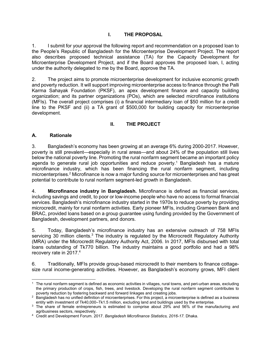### **I. THE PROPOSAL**

1. I submit for your approval the following report and recommendation on a proposed loan to the People's Republic of Bangladesh for the Microenterprise Development Project. The report also describes proposed technical assistance (TA) for the Capacity Development for Microenterprise Development Project, and if the Board approves the proposed loan, I, acting under the authority delegated to me by the Board, approve the TA.

2. The project aims to promote microenterprise development for inclusive economic growth and poverty reduction. It will support improving microenterprise access to finance through the Palli Karma Sahayak Foundation (PKSF), an apex development finance and capacity building organization; and its partner organizations (POs), which are selected microfinance institutions (MFIs). The overall project comprises (i) a financial intermediary loan of \$50 million for a credit line to the PKSF and (ii) a TA grant of \$500,000 for building capacity for microenterprise development.

#### **II. THE PROJECT**

#### **A. Rationale**

3. Bangladesh's economy has been growing at an average 6% during 2000-2017. However, poverty is still prevalent—especially in rural areas—and about 24% of the population still lives below the national poverty line. Promoting the rural nonfarm segment became an important policy agenda to generate rural job opportunities and reduce poverty.<sup>1</sup> Bangladesh has a mature microfinance industry, which has been financing the rural nonfarm segment, including microenterprises. $2$  Microfinance is now a major funding source for microenterprises and has great potential to contribute to rural nonfarm segment-led growth in Bangladesh.

4. **Microfinance industry in Bangladesh.** Microfinance is defined as financial services, including savings and credit, to poor or low-income people who have no access to formal financial services. Bangladesh's microfinance industry started in the 1970s to reduce poverty by providing microcredit, mainly for rural nonfarm activities. Early pioneer MFIs, including Grameen Bank and BRAC, provided loans based on a group guarantee using funding provided by the Government of Bangladesh, development partners, and donors.

5. Today, Bangladesh's microfinance industry has an extensive outreach of 758 MFIs servicing 30 million clients. $3$  The industry is regulated by the Microcredit Regulatory Authority (MRA) under the Microcredit Regulatory Authority Act, 2006. In 2017, MFIs disbursed with total loans outstanding of Tk770 billion. The industry maintains a good portfolio and had a 98% recovery rate in 2017.<sup>4</sup>

6. Traditionally, MFIs provide group-based microcredit to their members to finance cottagesize rural income-generating activities. However, as Bangladesh's economy grows, MFI client

 $\overline{a}$  $^{\rm 1}\,$  The rural nonfarm segment is defined as economic activities in villages, rural towns, and peri-urban areas, excluding the primary production of crops, fish, trees, and livestock. Developing the rural nonfarm segment contributes to poverty reduction by fostering backward and forward linkages and creating jobs.

 $^2\,$  Bangladesh has no unified definition of microenterprises. For this project, a microenterprise is defined as a business entity with investment of Tk40,000–Tk1.5 million, excluding land and buildings used by the enterprise.

 $3$  The share of female entrepreneurs is estimated to comprise about 29% and 56% of the manufacturing and agribusiness sectors, respectively.

<sup>4</sup> Credit and Development Forum. 2017. *Bangladesh Microfinance Statistics, 2016-17*. Dhaka.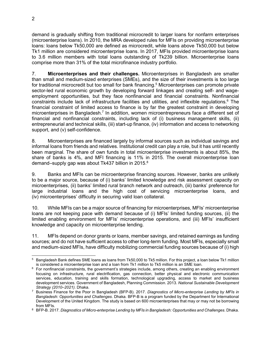demand is gradually shifting from traditional microcredit to larger loans for nonfarm enterprises (microenterprise loans). In 2010, the MRA developed rules for MFIs on providing microenterprise loans: loans below Tk50,000 are defined as microcredit, while loans above Tk50,000 but below Tk1 million are considered microenterprise loans. In 2017, MFIs provided microenterprise loans to 3.6 million members with total loans outstanding of Tk239 billion. Microenterprise loans comprise more than 31% of the total microfinance industry portfolio.

7. **Microenterprises and their challenges.** Microenterprises in Bangladesh are smaller than small and medium-sized enterprises (SMEs), and the size of their investments is too large for traditional microcredit but too small for bank financing.<sup>5</sup> Microenterprises can promote private sector-led rural economic growth by developing forward linkages and creating self- and wageemployment opportunities, but they face nonfinancial and financial constraints. Nonfinancial constraints include lack of infrastructure facilities and utilities, and inflexible regulations.<sup>6</sup> The financial constraint of limited access to finance is by far the greatest constraint in developing microenterprises in Bangladesh.<sup>7</sup> In addition, women microentrepreneurs face a different set of financial and nonfinancial constraints, including lack of (i) business management skills, (ii) entrepreneurial and technical skills, (iii) start-up finance, (iv) information and access to networking support, and (v) self-confidence.

8. Microenterprises are financed largely by informal sources such as individual savings and informal loans from friends and relatives. Institutional credit can play a role, but it has until recently been marginal. The share of own funds in total microenterprise investments is about 85%, the share of banks is 4%, and MFI financing is 11% in 2015. The overall microenterprise loan demand–supply gap was about Tk437 billion in 2015.<sup>8</sup>

9. Banks and MFIs can be microenterprise financing sources. However, banks are unlikely to be a major source, because of (i) banks' limited knowledge and risk assessment capacity on microenterprises, (ii) banks' limited rural branch network and outreach, (iii) banks' preference for large industrial loans and the high cost of servicing microenterprise loans, and (iv) microenterprises' difficulty in securing valid loan collateral.

10. While MFIs can be a major source of financing for microenterprises, MFIs' microenterprise loans are not keeping pace with demand because of (i) MFIs' limited funding sources, (ii) the limited enabling environment for MFIs' microenterprise operations, and (iii) MFIs' insufficient knowledge and capacity on microenterprise lending.

11. MFIs depend on donor grants or loans, member savings, and retained earnings as funding sources; and do not have sufficient access to other long-term funding. Most MFIs, especially small and medium-sized MFIs, have difficulty mobilizing commercial funding sources because of (i) high

 $\overline{a}$  $^5\,$  Bangladesh Bank defines SME loans as loans from Tk50,000 to Tk5 million. For this project, a loan below Tk1 million is considered a microenterprise loan and a loan from Tk1 million to Tk5 million is an SME loan.

 $^6$  For nonfinancial constraints, the government's strategies include, among others, creating an enabling environment focusing on infrastructure, rural electrification, gas connection, better physical and electronic communication services, education, training and skills formation, technological upgrading, access to market and business development services. Government of Bangladesh, Planning Commission. 2013. *National Sustainable Development Strategy (2010–2021)*. Dhaka.

<sup>7</sup> Business Finance for the Poor in Bangladesh (BFP-B). 2017. *Diagnostics of Micro-enterprise Lending by MFIs in Bangladesh: Opportunities and Challenges*. Dhaka. BFP-B is a program funded by the Department for International Development of the United Kingdom. The study is based on 600 microenterprises that may or may not be borrowing from MFIs.

<sup>8</sup> BFP-B. 2017. *Diagnostics of Micro-enterprise Lending by MFIs in Bangladesh: Opportunities and Challenges*. Dhaka.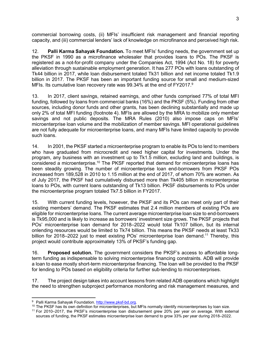commercial borrowing costs, (ii) MFIs' insufficient risk management and financial reporting capacity, and (iii) commercial lenders' lack of knowledge on microfinance and perceived high risk.

12. **Palli Karma Sahayak Foundation.** To meet MFIs' funding needs, the government set up the PKSF in 1990 as a microfinance wholesaler that provides loans to POs. The PKSF is registered as a not-for-profit company under the Companies Act, 1994 (Act No. 18) for poverty alleviation through sustainable employment generation. It has 277 POs with loans outstanding of Tk44 billion in 2017, while loan disbursement totaled Tk31 billion and net income totaled Tk1.9 billion in 2017. The PKSF has been an important funding source for small and medium-sized MFIs. Its cumulative loan recovery rate was 99.34% at the end of FY2017.<sup>9</sup>

13. In 2017, client savings, retained earnings, and other funds comprised 77% of total MFI funding, followed by loans from commercial banks (16%) and the PKSF (5%). Funding from other sources, including donor funds and other grants, has been declining substantially and made up only 2% of total MFI funding (footnote 4). MFIs are allowed by the MRA to mobilize only member savings and not public deposits. The MRA Rules (2010) also impose caps on MFIs' microenterprise loan volume and the mobilization of member savings. MFI operational guidelines are not fully adequate for microenterprise loans, and many MFIs have limited capacity to provide such loans.

14. In 2001, the PKSF started a microenterprise program to enable its POs to lend to members who have graduated from microcredit and need higher capital for investments. Under the program, any business with an investment up to Tk1.5 million, excluding land and buildings, is considered a microenterprise.<sup>10</sup> The PKSF reported that demand for microenterprise loans has been steadily growing. The number of microenterprise loan end-borrowers from PKSF POs increased from 189,528 in 2010 to 1.15 million at the end of 2017, of whom 70% are women. As of July 2017, the PKSF had cumulatively disbursed more than Tk405 billion in microenterprise loans to POs, with current loans outstanding of Tk13 billion. PKSF disbursements to POs under the microenterprise program totaled Tk7.5 billion in FY2017.

15. With current funding levels, however, the PKSF and its POs can meet only part of their existing members' demand. The PKSF estimates that 2.4 million members of existing POs are eligible for microenterprise loans. The current average microenterprise loan size to end-borrowers is Tk95,000 and is likely to increase as borrowers' investment size grows. The PKSF projects that POs' microenterprise loan demand for 2018–2022 would total Tk107 billion, but its internal onlending resources would be limited to Tk74 billion. This means the PKSF needs at least Tk33 billion for 2018–2022 just to meet existing POs' microenterprise loan demand.<sup>11</sup> Thereby, this project would contribute approximately 13% of PKSF's funding gap.

16. **Proposed solution.** The government considers the PKSF's access to affordable longterm funding as indispensable to solving microenterprise financing constraints. ADB will provide a loan to ease mostly short-term microenterprise financing. The loan will be provided to the PKSF for lending to POs based on eligibility criteria for further sub-lending to microenterprises.

17. The project design takes into account lessons from related ADB operations which highlight the need to strengthen subproject performance monitoring and risk management measures, and

 9 Palli Karma Sahayak Foundation. http://www.pksf-bd.org.

 $10$  The PKSF has its own definition for microenterprises, but MFIs normally identify microenterprises by loan size.

<sup>11</sup> For 2010–2017, the PKSF's microenterprise loan disbursement grew 20% per year on average. With external sources of funding, the PKSF estimates microenterprise loan demand to grow 33% per year during 2018–2022.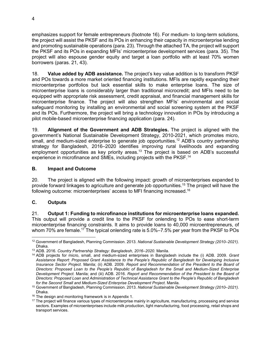emphasizes support for female entrepreneurs (footnote 16). For medium- to long-term solutions, the project will assist the PKSF and its POs in enhancing their capacity in microenterprise lending and promoting sustainable operations (para. 23). Through the attached TA, the project will support the PKSF and its POs in expanding MFIs' microenterprise development services (para. 35). The project will also espouse gender equity and target a loan portfolio with at least 70% women borrowers (paras. 21, 43).

18. **Value added by ADB assistance.** The project's key value addition is to transform PKSF and POs towards a more market oriented financing institutions. MFIs are rapidly expanding their microenterprise portfolios but lack essential skills to make enterprise loans. The size of microenterprise loans is considerably larger than traditional microcredit; and MFIs need to be equipped with appropriate risk assessment, credit appraisal, and financial management skills for microenterprise finance. The project will also strengthen MFIs' environmental and social safeguard monitoring by installing an environmental and social screening system at the PKSF and its POs. Furthermore, the project will bring a technology innovation in POs by introducing a pilot mobile-based microenterprise financing application (para. 24).

19. **Alignment of the Government and ADB Strategies.** The project is aligned with the government's National Sustainable Development Strategy, 2010-2021, which promotes micro, small, and medium-sized enterprise to generate job opportunities.<sup>12</sup> ADB's country partnership strategy for Bangladesh, 2016–2020 identifies improving rural livelihoods and expanding employment opportunities as key priority areas.<sup>13</sup> The project is based on ADB's successful experience in microfinance and SMEs, including projects with the PKSF.<sup>14</sup>

#### **B. Impact and Outcome**

20. The project is aligned with the following impact: growth of microenterprises expanded to provide forward linkages to agriculture and generate job opportunities.<sup>15</sup> The project will have the following outcome: microenterprises' access to MFI financing increased.<sup>16</sup>

### **C. Outputs**

-

21. **Output 1: Funding to microfinance institutions for microenterprise loans expanded.** This output will provide a credit line to the PKSF for onlending to POs to ease short-term microenterprise financing constraints. It aims to provide loans to 40,000 microentrepreneurs, of whom 70% are female.<sup>17</sup> The typical onlending rate is  $5.0\% - 7.5\%$  per year from the PKSF to POs

<sup>12</sup> Government of Bangladesh, Planning Commission. 2013. *National Sustainable Development Strategy (2010–2021)*. Dhaka.

<sup>13</sup> ADB. 2016. *Country Partnership Strategy: Bangladesh, 2016–2020*. Manila.

<sup>14</sup> ADB projects for micro, small, and medium-sized enterprises in Bangladesh include the (i) ADB. 2009. *Grant Assistance Report: Proposed Grant Assistance to the People's Republic of Bangladesh for Developing Inclusive Insurance Sector Project*. Manila; (ii) ADB. 2009. *Report and Recommendation of the President to the Board of Directors: Proposed Loan to the People's Republic of Bangladesh for the Small and Medium-Sized Enterprise Development Project.* Manila; and (iii) ADB. 2016. *Report and Recommendation of the President to the Board of Directors: Proposed Loan and Administration of Technical Assistance Grant to the People's Republic of Bangladesh for the Second Small and Medium-Sized Enterprise Development Project*. Manila.

<sup>15</sup> Government of Bangladesh, Planning Commission. 2013. *National Sustainable Development Strategy (2010–2021)*. Dhaka.

<sup>&</sup>lt;sup>16</sup> The design and monitoring framework is in Appendix 1.

<sup>&</sup>lt;sup>17</sup> The project will finance various types of microenterprise mainly in agriculture, manufacturing, processing and service sectors. Examples of microenterprises include milk production, light manufacturing, food processing, retail shops and transport services.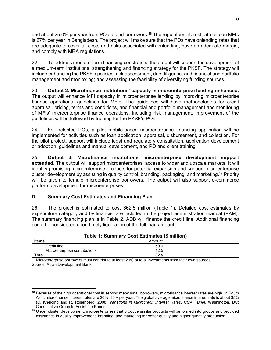and about 25.0% per year from POs to end-borrowers.<sup>18</sup> The regulatory interest rate cap on MFIs is 27% per year in Bangladesh. The project will make sure that the POs have onlending rates that are adequate to cover all costs and risks associated with onlending, have an adequate margin, and comply with MRA regulations.

22. To address medium-term financing constraints, the output will support the development of a medium-term institutional strengthening and financing strategy for the PKSF. The strategy will include enhancing the PKSF's policies, risk assessment, due diligence, and financial and portfolio management and monitoring; and assessing the feasibility of diversifying funding sources.

#### 23. **Output 2: Microfinance institutions' capacity in microenterprise lending enhanced.**

The output will enhance MFI capacity in microenterprise lending by improving microenterprise finance operational guidelines for MFIs. The guidelines will have methodologies for credit appraisal, pricing, terms and conditions, and financial and portfolio management and monitoring of MFIs' microenterprise finance operations, including risk management. Improvement of the guidelines will be followed by training for the PKSF's POs.

24. For selected POs, a pilot mobile-based microenterprise financing application will be implemented for activities such as loan application, appraisal, disbursement, and collection. For the pilot project, support will include legal and regulatory consultation, application development or adoption, guidelines and manual development, and PO and client training.

25. **Output 3: Microfinance institutions' microenterprise development support extended.** The output will support microenterprises' access to wider and upscale markets. It will identify promising microenterprise products for potential expansion and support microenterprise cluster development by assisting in quality control, branding, packaging, and marketing.<sup>19</sup> Priority will be given to female microenterprise borrowers. The output will also support e-commerce platform development for microenterprises.

#### **D. Summary Cost Estimates and Financing Plan**

26. The project is estimated to cost \$62.5 million (Table 1). Detailed cost estimates by expenditure category and by financier are included in the project administration manual (PAM). The summary financing plan is in Table 2. ADB will finance the credit line. Additional financing could be considered upon timely liquidation of the full loan amount.

| Table 1: Summary Cost Estimates (\$ million) |      |  |  |  |
|----------------------------------------------|------|--|--|--|
| <b>Items</b><br>Amount                       |      |  |  |  |
| Credit line                                  | 50.0 |  |  |  |
| Microenterprise contribution <sup>a</sup>    | 12.5 |  |  |  |
| Total                                        | 62.5 |  |  |  |

 $\frac{a}{b}$  Microenterprise borrowers must contribute at least 20% of total investments from their own sources. Source: Asian Development Bank.

 $\overline{a}$ <sup>18</sup> Because of the high operational cost in serving many small borrowers, microfinance interest rates are high. In South Asia, microfinance interest rates are 20%–30% per year. The global average microfinance interest rate is about 35% (C. Kneiding and R. Rosenberg. 2008. *Variations in Microcredit Interest Rates*. *CGAP Brief*. Washington, DC: Consultative Group to Assist the Poor).

<sup>&</sup>lt;sup>19</sup> Under cluster development, microenterprises that produce similar products will be formed into groups and provided assistance in quality improvement, branding, and marketing for better quality and higher quantity production.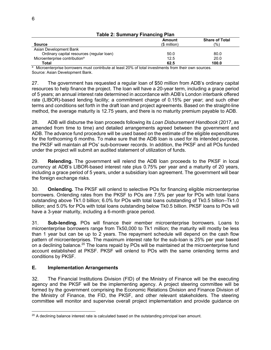|                                           | Amount        | <b>Share of Total</b> |  |  |
|-------------------------------------------|---------------|-----------------------|--|--|
| <b>Source</b>                             | $(S$ million) | (%)                   |  |  |
| Asian Development Bank                    |               |                       |  |  |
| Ordinary capital resources (regular loan) | 50.0          | 80.0                  |  |  |
| Microenterprise contribution <sup>a</sup> | 12.5          | 20.0                  |  |  |
| Total                                     | 62.5          | 100.0                 |  |  |

**Table 2: Summary Financing Plan**

a Microenterprise borrowers must contribute at least 20% of total investments from their own sources. Source: Asian Development Bank.

27. The government has requested a regular loan of \$50 million from ADB's ordinary capital resources to help finance the project. The loan will have a 20-year term, including a grace period of 5 years; an annual interest rate determined in accordance with ADB's London interbank offered rate (LIBOR)-based lending facility; a commitment charge of 0.15% per year; and such other terms and conditions set forth in the draft loan and project agreements. Based on the straight-line method, the average maturity is 12.75 years, and there is no maturity premium payable to ADB.

28. ADB will disburse the loan proceeds following its *Loan Disbursement Handbook* (2017, as amended from time to time) and detailed arrangements agreed between the government and ADB. The advance fund procedure will be used based on the estimate of the eligible expenditures for the forthcoming 6 months. To make sure that the ADB loan is used for its intended purpose, the PKSF will maintain all POs' sub-borrower records. In addition, the PKSF and all POs funded under the project will submit an audited statement of utilization of funds.

29. **Relending.** The government will relend the ADB loan proceeds to the PKSF in local currency at ADB's LIBOR-based interest rate plus 0.75% per year and a maturity of 20 years, including a grace period of 5 years, under a subsidiary loan agreement. The government will bear the foreign exchange risks.

30. **Onlending.** The PKSF will onlend to selective POs for financing eligible microenterprise borrowers. Onlending rates from the PKSF to POs are 7.5% per year for POs with total loans outstanding above Tk1.0 billion; 6.0% for POs with total loans outstanding of Tk0.5 billion–Tk1.0 billion; and 5.0% for POs with total loans outstanding below Tk0.5 billion. PKSF loans to POs will have a 3-year maturity, including a 6-month grace period.

31. **Sub-lending.** POs will finance their member microenterprise borrowers. Loans to microenterprise borrowers range from Tk50,000 to Tk1 million; the maturity will mostly be less than 1 year but can be up to 2 years. The repayment schedule will depend on the cash flow pattern of microenterprises. The maximum interest rate for the sub-loan is 25% per year based on a declining balance.<sup>20</sup> The loans repaid by POs will be maintained at the microenterprise fund account established at PKSF. PKSF will onlend to POs with the same onlending terms and conditions by PKSF.

### **E. Implementation Arrangements**

32. The Financial Institutions Division (FID) of the Ministry of Finance will be the executing agency and the PKSF will be the implementing agency. A project steering committee will be formed by the government comprising the Economic Relations Division and Finance Division of the Ministry of Finance, the FID, the PKSF, and other relevant stakeholders. The steering committee will monitor and supervise overall project implementation and provide guidance on

 $\overline{a}$  $20$  A declining balance interest rate is calculated based on the outstanding principal loan amount.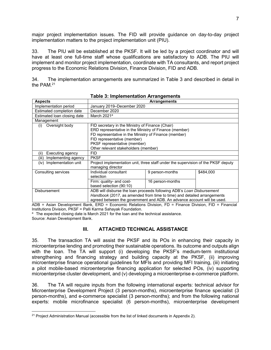major project implementation issues. The FID will provide guidance on day-to-day project implementation matters to the project implementation unit (PIU).

33. The PIU will be established at the PKSF. It will be led by a project coordinator and will have at least one full-time staff whose qualifications are satisfactory to ADB. The PIU will implement and monitor project implementation, coordinate with TA consultants, and report project progress to the Economic Relations Division, Finance Division, FID and ADB.

34. The implementation arrangements are summarized in Table 3 and described in detail in the PAM.<sup>21</sup>

| <b>Aspects</b>               |                                                                                                                                                                                                                                                                            | <b>Arrangements</b> |           |
|------------------------------|----------------------------------------------------------------------------------------------------------------------------------------------------------------------------------------------------------------------------------------------------------------------------|---------------------|-----------|
| Implementation period        | January 2019–December 2020                                                                                                                                                                                                                                                 |                     |           |
| Estimated completion date    | December 2020                                                                                                                                                                                                                                                              |                     |           |
| Estimated loan closing date  | March 2021 <sup>a</sup>                                                                                                                                                                                                                                                    |                     |           |
| Management                   |                                                                                                                                                                                                                                                                            |                     |           |
| Oversight body<br>(i)        | FID secretary in the Ministry of Finance (Chair)<br>ERD representative in the Ministry of Finance (member)<br>FD representative in the Ministry of Finance (member)<br>FID representative (member)<br>PKSF representative (member)<br>Other relevant stakeholders (member) |                     |           |
| Executing agency<br>(ii)     | <b>FID</b>                                                                                                                                                                                                                                                                 |                     |           |
| Implementing agency<br>(iii) | <b>PKSF</b>                                                                                                                                                                                                                                                                |                     |           |
| Implementation unit<br>(iv)  | Project implementation unit, three staff under the supervision of the PKSF deputy<br>managing director                                                                                                                                                                     |                     |           |
| Consulting services          | Individual consultant<br>selection                                                                                                                                                                                                                                         | 9 person-months     | \$484,000 |
|                              | Firm: quality- and cost-<br>based selection (90:10)                                                                                                                                                                                                                        | 16 person-months    |           |
| Disbursement                 | ADB will disburse the loan proceeds following ADB's Loan Disbursement<br>Handbook (2017, as amended from time to time) and detailed arrangements<br>agreed between the government and ADB. An advance account will be used.                                                |                     |           |

**Table 3: Implementation Arrangements** 

ADB = Asian Development Bank, ERD = Economic Relations Division, FD = Finance Division, FID = Financial Institutions Division, PKSF = Palli Karma Sahayak Foundation.

<sup>a</sup> The expected closing date is March 2021 for the loan and the technical assistance. Source: Asian Development Bank.

#### **III. ATTACHED TECHNICAL ASSISTANCE**

35. The transaction TA will assist the PKSF and its POs in enhancing their capacity in microenterprise lending and promoting their sustainable operations. Its outcome and outputs align with the loan. The TA will support (i) developing the PKSF's medium-term institutional strengthening and financing strategy and building capacity at the PKSF, (ii) improving microenterprise finance operational guidelines for MFIs and providing MFI training, (iii) initiating a pilot mobile-based microenterprise financing application for selected POs, (iv) supporting microenterprise cluster development, and (v) developing a microenterprise e-commerce platform.

36. The TA will require inputs from the following international experts: technical advisor for Microenterprise Development Project (3 person-months), microenterprise finance specialist (3 person-months), and e-commerce specialist (3 person-months); and from the following national experts: mobile microfinance specialist (6 person-months), microenterprise development

<sup>-</sup> $21$  Project Administration Manual (accessible from the list of linked documents in Appendix 2).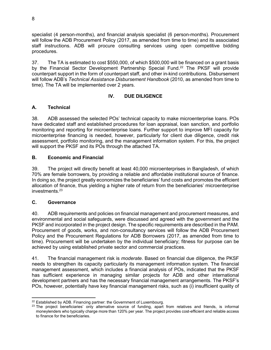specialist (4 person-months), and financial analysis specialist (6 person-months). Procurement will follow the ADB Procurement Policy (2017, as amended from time to time) and its associated staff instructions. ADB will procure consulting services using open competitive bidding procedures.

37. The TA is estimated to cost \$550,000, of which \$500,000 will be financed on a grant basis by the Financial Sector Development Partnership Special Fund.<sup>22</sup> The PKSF will provide counterpart support in the form of counterpart staff, and other in-kind contributions. Disbursement will follow ADB's *Technical Assistance Disbursement Handbook* (2010, as amended from time to time). The TA will be implemented over 2 years.

### **IV. DUE DILIGENCE**

### **A. Technical**

38. ADB assessed the selected POs' technical capacity to make microenterprise loans. POs have dedicated staff and established procedures for loan appraisal, loan sanction, and portfolio monitoring and reporting for microenterprise loans. Further support to improve MFI capacity for microenterprise financing is needed, however, particularly for client due diligence, credit risk assessment, portfolio monitoring, and the management information system. For this, the project will support the PKSF and its POs through the attached TA.

### **B. Economic and Financial**

39. The project will directly benefit at least 40,000 microenterprises in Bangladesh, of which 70% are female borrowers, by providing a reliable and affordable institutional source of finance. In doing so, the project greatly economizes the beneficiaries' fund costs and promotes the efficient allocation of finance, thus yielding a higher rate of return from the beneficiaries' microenterprise investments.<sup>23</sup>

### **C. Governance**

40. ADB requirements and policies on financial management and procurement measures, and environmental and social safeguards, were discussed and agreed with the government and the PKSF and incorporated in the project design. The specific requirements are described in the PAM. Procurement of goods, works, and non-consultancy services will follow the ADB Procurement Policy and the Procurement Regulations for ADB Borrowers (2017, as amended from time to time). Procurement will be undertaken by the individual beneficiary; fitness for purpose can be achieved by using established private sector and commercial practices.

41. The financial management risk is *moderate*. Based on financial due diligence, the PKSF needs to strengthen its capacity particularly its management information system. The financial management assessment, which includes a financial analysis of POs, indicated that the PKSF has sufficient experience in managing similar projects for ADB and other international development partners and has the necessary financial management arrangements. The PKSF's POs, however, potentially have key financial management risks, such as (i) insufficient quality of

<sup>-</sup><sup>22</sup> Established by ADB. Financing partner: the Government of Luxembourg.

 $23$  The project beneficiaries' only alternative source of funding, apart from relatives and friends, is informal moneylenders who typically charge more than 120% per year. The project provides cost-efficient and reliable access to finance for the beneficiaries.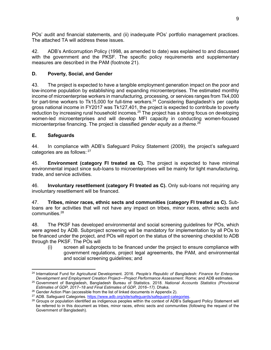POs' audit and financial statements, and (ii) inadequate POs' portfolio management practices. The attached TA will address these issues.

42. ADB's Anticorruption Policy (1998, as amended to date) was explained to and discussed with the government and the PKSF. The specific policy requirements and supplementary measures are described in the PAM (footnote 21).

## **D. Poverty, Social, and Gender**

43. The project is expected to have a tangible employment generation impact on the poor and low-income population by establishing and expanding microenterprises. The estimated monthly income of microenterprise workers in manufacturing, processing, or services ranges from Tk4,000 for part-time workers to Tk15,000 for full-time workers.<sup>24</sup> Considering Bangladesh's per capita gross national income in FY2017 was Tk127,401, the project is expected to contribute to poverty reduction by increasing rural household incomes.<sup>25</sup> The project has a strong focus on developing women-led microenterprises and will develop MFI capacity in conducting women-focused microenterprise financing. The project is classified *gender equity as a theme*. 26

## **E. Safeguards**

44. In compliance with ADB's Safeguard Policy Statement (2009), the project's safeguard categories are as follows:  $27$ 

45. **Environment (category FI treated as C).** The project is expected to have minimal environmental impact since sub-loans to microenterprises will be mainly for light manufacturing, trade, and service activities.

46. **Involuntary resettlement (category FI treated as C).** Only sub-loans not requiring any involuntary resettlement will be financed.

47. **Tribes, minor races, ethnic sects and communities (category FI treated as C).** Subloans are for activities that will not have any impact on tribes, minor races, ethnic sects and communities.<sup>28</sup>

48. The PKSF has developed environmental and social screening guidelines for POs, which were agreed by ADB. Subproject screening will be mandatory for implementation by all POs to be financed under the project, and POs will report on the status of the screening checklist to ADB through the PKSF. The POs will

(i) screen all subprojects to be financed under the project to ensure compliance with government regulations, project legal agreements, the PAM, and environmental and social screening guidelines; and

<sup>-</sup><sup>24</sup> International Fund for Agricultural Development. 2016. *People's Republic of Bangladesh: Finance for Enterprise Development and Employment Creation Project—Project Performance Assessment*. Rome; and ADB estimates.

<sup>25</sup> Government of Bangladesh, Bangladesh Bureau of Statistics. 2018. *National Accounts Statistics (Provisional Estimates of GDP, 2017–18 and Final Estimates of GDP, 2016–17)*. Dhaka.

 $26$  Gender Action Plan (accessible from the list of linked documents in Appendix 2).

<sup>&</sup>lt;sup>27</sup> ADB. Safeguard Categories. https://www.adb.org/site/safeguards/safeguard-categories.

<sup>&</sup>lt;sup>28</sup> Groups or population identified as indigenous peoples within the context of ADB's Safeguard Policy Statement will be referred to in this document as tribes, minor races, ethnic sects and communities (following the request of the Government of Bangladesh).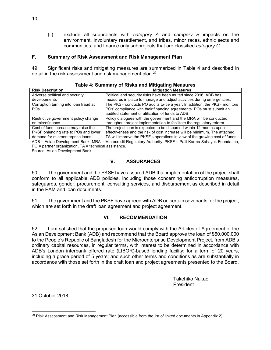(ii) exclude all subprojects with *category A* and *category B* impacts on the environment, involuntary resettlement, and tribes, minor races, ethnic sects and communities; and finance only subprojects that are classified *category C*.

#### **F. Summary of Risk Assessment and Risk Management Plan**

49. Significant risks and mitigating measures are summarized in Table 4 and described in detail in the risk assessment and risk management plan.<sup>29</sup>

| The PKSF conducts PO audits twice a year. In addition, the PKSF monitors    |
|-----------------------------------------------------------------------------|
|                                                                             |
|                                                                             |
|                                                                             |
|                                                                             |
|                                                                             |
| effectiveness and the risk of cost increase will be minimum. The attached   |
| TA will improve the PKSF's operations in view of the growing cost of funds. |
|                                                                             |

| Table 4: Summary of Risks and Mitigating Measures |  |  |  |
|---------------------------------------------------|--|--|--|
|---------------------------------------------------|--|--|--|

ADB = Asian Development Bank, MRA = Microcredit Regulatory Authority, PKSF = Palli Karma Sahayak Foundation, PO = partner organization, TA = technical assistance. Source: Asian Development Bank.

#### **V. ASSURANCES**

50. The government and the PKSF have assured ADB that implementation of the project shall conform to all applicable ADB policies, including those concerning anticorruption measures, safeguards, gender, procurement, consulting services, and disbursement as described in detail in the PAM and loan documents.

51. The government and the PKSF have agreed with ADB on certain covenants for the project, which are set forth in the draft loan agreement and project agreement.

#### **VI. RECOMMENDATION**

52. I am satisfied that the proposed loan would comply with the Articles of Agreement of the Asian Development Bank (ADB) and recommend that the Board approve the loan of \$50,000,000 to the People's Republic of Bangladesh for the Microenterprise Development Project, from ADB's ordinary capital resources, in regular terms, with interest to be determined in accordance with ADB's London interbank offered rate (LIBOR)-based lending facility; for a term of 20 years, including a grace period of 5 years; and such other terms and conditions as are substantially in accordance with those set forth in the draft loan and project agreements presented to the Board.

> Takehiko Nakao President

31 October 2018

<sup>-</sup> $29$  Risk Assessment and Risk Management Plan (accessible from the list of linked documents in Appendix 2).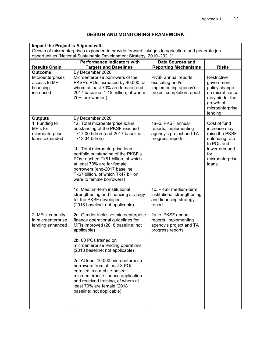## **DESIGN AND MONITORING FRAMEWORK**

| Impact the Project is Aligned with                                               |                                                                                                                                                                                                                                                                                                                                                                                                      |                                                                                                |                                                                                                                                    |
|----------------------------------------------------------------------------------|------------------------------------------------------------------------------------------------------------------------------------------------------------------------------------------------------------------------------------------------------------------------------------------------------------------------------------------------------------------------------------------------------|------------------------------------------------------------------------------------------------|------------------------------------------------------------------------------------------------------------------------------------|
|                                                                                  | Growth of microenterprises expanded to provide forward linkages to agriculture and generate job                                                                                                                                                                                                                                                                                                      |                                                                                                |                                                                                                                                    |
|                                                                                  | opportunities (National Sustainable Development Strategy, 2010-2021) <sup>a</sup>                                                                                                                                                                                                                                                                                                                    |                                                                                                |                                                                                                                                    |
|                                                                                  | <b>Performance Indicators with</b>                                                                                                                                                                                                                                                                                                                                                                   | <b>Data Sources and</b>                                                                        |                                                                                                                                    |
| <b>Results Chain</b>                                                             | Targets and Baselines <sup>b</sup>                                                                                                                                                                                                                                                                                                                                                                   | <b>Reporting Mechanisms</b>                                                                    | <b>Risks</b>                                                                                                                       |
| <b>Outcome</b><br>Microenterprises'<br>access to MFI<br>financing<br>increased   | By December 2020<br>Microenterprise borrowers of the<br>PKSF's POs increased by 40,000, of<br>whom at least 70% are female (end-<br>2017 baseline: 1.15 million, of whom<br>70% are women)                                                                                                                                                                                                           | PKSF annual reports,<br>executing and/or<br>implementing agency's<br>project completion report | Restrictive<br>government<br>policy change<br>on microfinance<br>may hinder the<br>growth of<br>microenterprise                    |
|                                                                                  |                                                                                                                                                                                                                                                                                                                                                                                                      |                                                                                                | lending.                                                                                                                           |
| <b>Outputs</b><br>1. Funding to<br>MFIs for<br>microenterprise<br>loans expanded | By December 2020<br>1a. Total microenterprise loans<br>outstanding of the PKSF reached<br>Tk17.00 billion (end-2017 baseline:<br>Tk13.34 billion)<br>1b. Total microenterprise loan<br>portfolio outstanding of the PKSF's<br>POs reached Tk81 billion, of which<br>at least 70% are for female<br>borrowers (end-2017 baseline:<br>Tk67 billion, of which Tk47 billion<br>were to female borrowers) | 1a-b. PKSF annual<br>reports, implementing<br>agency's project and TA<br>progress reports      | Cost of fund<br>increase may<br>raise the PKSF<br>onlending rate<br>to POs and<br>lower demand<br>for<br>microenterprise<br>loans. |
|                                                                                  | 1c. Medium-term institutional<br>strengthening and financing strategy<br>for the PKSF developed<br>(2018 baseline: not applicable)                                                                                                                                                                                                                                                                   | 1c. PKSF medium-term<br>institutional strengthening<br>and financing strategy<br>report        |                                                                                                                                    |
| 2. MFIs' capacity<br>in microenterprise<br>lending enhanced                      | 2a. Gender-inclusive microenterprise<br>finance operational guidelines for<br>MFIs improved (2018 baseline: not<br>applicable)<br>2b. 80 POs trained on<br>microenterprise lending operations<br>(2018 baseline: not applicable)                                                                                                                                                                     | 2a-c. PKSF annual<br>reports, implementing<br>agency's project and TA<br>progress reports      |                                                                                                                                    |
|                                                                                  | 2c. At least 10,000 microenterprise<br>borrowers from at least 3 POs<br>enrolled in a mobile-based<br>microenterprise finance application<br>and received training, of whom at<br>least 70% are female (2018<br>baseline: not applicable)                                                                                                                                                            |                                                                                                |                                                                                                                                    |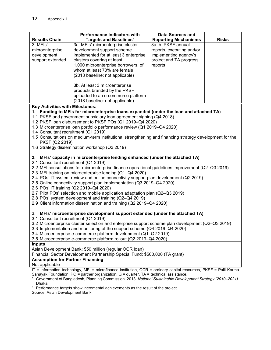|                                                                                     | <b>Performance Indicators with</b>    | Data Sources and            |              |  |
|-------------------------------------------------------------------------------------|---------------------------------------|-----------------------------|--------------|--|
| <b>Results Chain</b>                                                                | Targets and Baselines <sup>b</sup>    | <b>Reporting Mechanisms</b> | <b>Risks</b> |  |
| 3. MFIs'                                                                            | 3a. MFIs' microenterprise cluster     | 3a-b. PKSF annual           |              |  |
| microenterprise                                                                     | development support scheme            | reports, executing and/or   |              |  |
| development                                                                         | implemented for at least 3 enterprise | implementing agency's       |              |  |
| support extended                                                                    | clusters covering at least            | project and TA progress     |              |  |
|                                                                                     | 1,000 microenterprise borrowers, of   | reports                     |              |  |
|                                                                                     | whom at least 70% are female          |                             |              |  |
|                                                                                     | (2018 baseline: not applicable)       |                             |              |  |
|                                                                                     |                                       |                             |              |  |
|                                                                                     | 3b. At least 3 microenterprise        |                             |              |  |
|                                                                                     | products branded by the PKSF          |                             |              |  |
|                                                                                     | uploaded to an e-commerce platform    |                             |              |  |
|                                                                                     | (2018 baseline: not applicable)       |                             |              |  |
| <b>Key Activities with Milestones:</b>                                              |                                       |                             |              |  |
| Funding to MFIs for microenterprise loans expanded (under the loan and attached TA) |                                       |                             |              |  |
| 1.1 PKSF and government subsidiary loan agreement signing (Q4 2018)                 |                                       |                             |              |  |

- 1.2 PKSF loan disbursement to PKSF POs (Q1 2019–Q4 2020)
- 1.3 Microenterprise loan portfolio performance review (Q1 2019–Q4 2020)
- 1.4 Consultant recruitment (Q1 2019)
- 1.5 Consultations on medium-term institutional strengthening and financing strategy development for the PKSF (Q2 2019)
- 1.6 Strategy dissemination workshop (Q3 2019)

#### **2. MFIs' capacity in microenterprise lending enhanced (under the attached TA)**

- 2.1 Consultant recruitment (Q1 2019)
- 2.2 MFI consultations for microenterprise finance operational guidelines improvement (Q2–Q3 2019)
- 2.3 MFI training on microenterprise lending (Q1–Q4 2020)
- 2.4 POs' IT system review and online connectivity support plan development (Q2 2019)
- 2.5 Online connectivity support plan implementation (Q3 2019–Q4 2020)
- 2.6 POs' IT training (Q2 2019–Q4 2020)
- 2.7 Pilot POs' selection and mobile application adaptation plan (Q2–Q3 2019)
- 2.8 POs' system development and training (Q2–Q4 2019)
- 2.9 Client information dissemination and training (Q2 2019–Q4 2020)

#### 3. **MFIs' microenterprise development support extended (under the attached TA)**

- 3.1 Consultant recruitment (Q1 2019)
- 3.2 Microenterprise cluster selection and enterprise support scheme plan development (Q2–Q3 2019)
- 3.3 Implementation and monitoring of the support scheme (Q4 2019–Q4 2020)
- 3.4 Microenterprise e-commerce platform development (Q1–Q2 2019)
- 3.5 Microenterprise e-commerce platform rollout (Q2 2019–Q4 2020)

#### **Inputs**

Asian Development Bank: \$50 million (regular OCR loan)

Financial Sector Development Partnership Special Fund: \$500,000 (TA grant)

#### **Assumption for Partner Financing**

Not applicable

IT = information technology, MFI = microfinance institution, OCR = ordinary capital resources, PKSF = Palli Karma Sahayak Foundation,  $PO =$  partner organization,  $Q =$  quarter,  $TA =$  technical assistance.

- a Government of Bangladesh, Planning Commission. 2013. *National Sustainable Development Strategy (2010–2021)*. Dhaka.
- $b$  Performance targets show incremental achievements as the result of the project.

Source: Asian Development Bank.